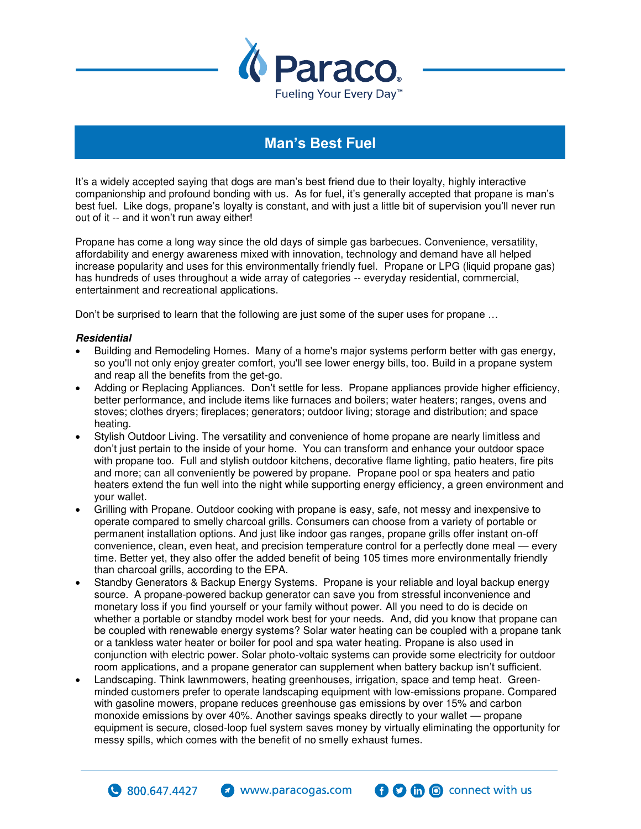

## **Man's Best Fuel**

It's a widely accepted saying that dogs are man's best friend due to their loyalty, highly interactive companionship and profound bonding with us. As for fuel, it's generally accepted that propane is man's best fuel. Like dogs, propane's loyalty is constant, and with just a little bit of supervision you'll never run out of it -- and it won't run away either!

Propane has come a long way since the old days of simple gas barbecues. Convenience, versatility, affordability and energy awareness mixed with innovation, technology and demand have all helped increase popularity and uses for this environmentally friendly fuel. Propane or LPG (liquid propane gas) has hundreds of uses throughout a wide array of categories -- everyday residential, commercial, entertainment and recreational applications.

Don't be surprised to learn that the following are just some of the super uses for propane …

## **Residential**

 $\bullet$  800,647,4427

- Building and Remodeling Homes. Many of a home's major systems perform better with gas energy, so you'll not only enjoy greater comfort, you'll see lower energy bills, too. Build in a propane system and reap all the benefits from the get-go.
- Adding or Replacing Appliances. Don't settle for less. Propane appliances provide higher efficiency, better performance, and include items like furnaces and boilers; water heaters; ranges, ovens and stoves; clothes dryers; fireplaces; generators; outdoor living; storage and distribution; and space heating.
- Stylish Outdoor Living. The versatility and convenience of home propane are nearly limitless and don't just pertain to the inside of your home. You can transform and enhance your outdoor space with propane too. Full and stylish outdoor kitchens, decorative flame lighting, patio heaters, fire pits and more; can all conveniently be powered by propane. Propane pool or spa heaters and patio heaters extend the fun well into the night while supporting energy efficiency, a green environment and your wallet.
- Grilling with Propane. Outdoor cooking with propane is easy, safe, not messy and inexpensive to operate compared to smelly charcoal grills. Consumers can choose from a variety of portable or permanent installation options. And just like indoor gas ranges, propane grills offer instant on-off convenience, clean, even heat, and precision temperature control for a perfectly done meal — every time. Better yet, they also offer the added benefit of being 105 times more environmentally friendly than charcoal grills, according to the EPA.
- Standby Generators & Backup Energy Systems. Propane is your reliable and loyal backup energy source. A propane-powered backup generator can save you from stressful inconvenience and monetary loss if you find yourself or your family without power. All you need to do is decide on whether a portable or standby model work best for your needs. And, did you know that propane can be coupled with renewable energy systems? Solar water heating can be coupled with a propane tank or a tankless water heater or boiler for pool and spa water heating. Propane is also used in conjunction with electric power. Solar photo-voltaic systems can provide some electricity for outdoor room applications, and a propane generator can supplement when battery backup isn't sufficient.
- Landscaping. Think lawnmowers, heating greenhouses, irrigation, space and temp heat. Greenminded customers prefer to operate landscaping equipment with low-emissions propane. Compared with gasoline mowers, propane reduces greenhouse gas emissions by over 15% and carbon monoxide emissions by over 40%. Another savings speaks directly to your wallet — propane equipment is secure, closed-loop fuel system saves money by virtually eliminating the opportunity for messy spills, which comes with the benefit of no smelly exhaust fumes.

**O** m o connect with us

www.paracogas.com